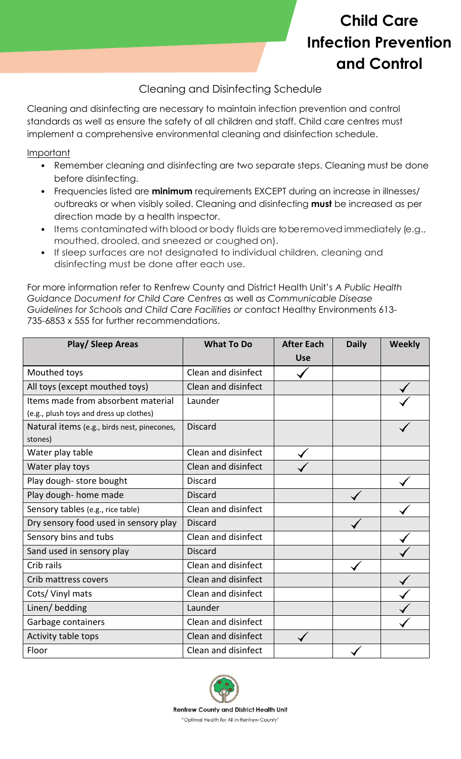## **Child Care Infection Prevention and Control**

## Cleaning and Disinfecting Schedule

Cleaning and disinfecting are necessary to maintain infection prevention and control standards as well as ensure the safety of all children and staff. Child care centres must implement a comprehensive environmental cleaning and disinfection schedule.

Important

- Remember cleaning and disinfecting are two separate steps. Cleaning must be done before disinfecting.
- Frequencies listed are **minimum** requirements EXCEPT during an increase in illnesses/ outbreaks or when visibly soiled. Cleaning and disinfecting **must** be increased as per direction made by a health inspector.
- Items contaminated with blood or body fluids are to be removed immediately (e.g., mouthed, drooled, and sneezed or coughed on).
- If sleep surfaces are not designated to individual children, cleaning and disinfecting must be done after each use.

For more information refer to Renfrew County and District Health Unit's *A Public Health Guidance Document for Child Care Centres* as well as *Communicable Disease Guidelines for Schools and Child Care Facilities or* contact Healthy Environments 613- 735-6853 x 555 for further recommendations.

| <b>Play/ Sleep Areas</b>                    | <b>What To Do</b>   | <b>After Each</b> | <b>Daily</b> | Weekly |
|---------------------------------------------|---------------------|-------------------|--------------|--------|
|                                             |                     | <b>Use</b>        |              |        |
| Mouthed toys                                | Clean and disinfect |                   |              |        |
| All toys (except mouthed toys)              | Clean and disinfect |                   |              |        |
| Items made from absorbent material          | Launder             |                   |              |        |
| (e.g., plush toys and dress up clothes)     |                     |                   |              |        |
| Natural items (e.g., birds nest, pinecones, | <b>Discard</b>      |                   |              |        |
| stones)                                     |                     |                   |              |        |
| Water play table                            | Clean and disinfect |                   |              |        |
| Water play toys                             | Clean and disinfect |                   |              |        |
| Play dough-store bought                     | <b>Discard</b>      |                   |              |        |
| Play dough- home made                       | <b>Discard</b>      |                   |              |        |
| Sensory tables (e.g., rice table)           | Clean and disinfect |                   |              |        |
| Dry sensory food used in sensory play       | <b>Discard</b>      |                   |              |        |
| Sensory bins and tubs                       | Clean and disinfect |                   |              |        |
| Sand used in sensory play                   | <b>Discard</b>      |                   |              |        |
| Crib rails                                  | Clean and disinfect |                   |              |        |
| Crib mattress covers                        | Clean and disinfect |                   |              |        |
| Cots/Vinyl mats                             | Clean and disinfect |                   |              |        |
| Linen/bedding                               | Launder             |                   |              |        |
| Garbage containers                          | Clean and disinfect |                   |              |        |
| Activity table tops                         | Clean and disinfect |                   |              |        |
| Floor                                       | Clean and disinfect |                   |              |        |